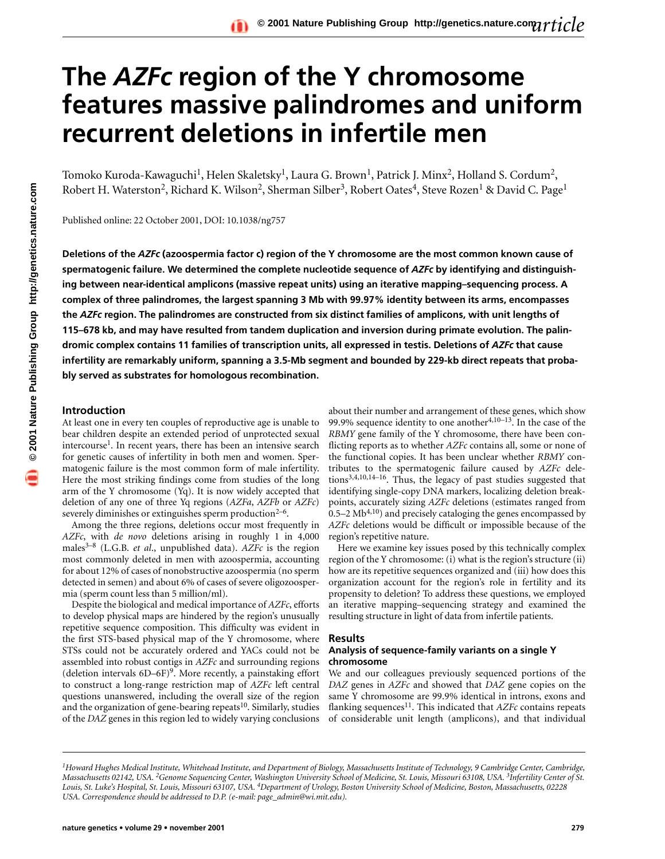# **The** *AZFc* **region of the Y chromosome features massive palindromes and uniform recurrent deletions in infertile men**

Tomoko Kuroda-Kawaguchi<sup>1</sup>, Helen Skaletsky<sup>1</sup>, Laura G. Brown<sup>1</sup>, Patrick J. Minx<sup>2</sup>, Holland S. Cordum<sup>2</sup>, Robert H. Waterston<sup>2</sup>, Richard K. Wilson<sup>2</sup>, Sherman Silber<sup>3</sup>, Robert Oates<sup>4</sup>, Steve Rozen<sup>1</sup> & David C. Page<sup>1</sup>

Published online: 22 October 2001, DOI: 10.1038/ng757

**Deletions of the** *AZFc* **(azoospermia factor c) region of the Y chromosome are the most common known cause of spermatogenic failure. We determined the complete nucleotide sequence of** *AZFc* **by identifying and distinguishing between near-identical amplicons (massive repeat units) using an iterative mapping–sequencing process. A complex of three palindromes, the largest spanning 3 Mb with 99.97% identity between its arms, encompasses the** *AZFc* **region. The palindromes are constructed from six distinct families of amplicons, with unit lengths of 115–678 kb, and may have resulted from tandem duplication and inversion during primate evolution. The palindromic complex contains 11 families of transcription units, all expressed in testis. Deletions of** *AZFc* **that cause infertility are remarkably uniform, spanning a 3.5-Mb segment and bounded by 229-kb direct repeats that probably served as substrates for homologous recombination.**

#### **Introduction**

At least one in every ten couples of reproductive age is unable to bear children despite an extended period of unprotected sexual intercourse<sup>1</sup>. In recent years, there has been an intensive search for genetic causes of infertility in both men and women. Spermatogenic failure is the most common form of male infertility. Here the most striking findings come from studies of the long arm of the Y chromosome (Yq). It is now widely accepted that deletion of any one of three Yq regions (*AZFa*, *AZFb* or *AZFc*) severely diminishes or extinguishes sperm production $2-6$ .

Among the three regions, deletions occur most frequently in *AZFc*, with *de novo* deletions arising in roughly 1 in 4,000 males3–8 (L.G.B. *et al*., unpublished data). *AZFc* is the region most commonly deleted in men with azoospermia, accounting for about 12% of cases of nonobstructive azoospermia (no sperm detected in semen) and about 6% of cases of severe oligozoospermia (sperm count less than 5 million/ml).

Despite the biological and medical importance of *AZFc*, efforts to develop physical maps are hindered by the region's unusually repetitive sequence composition. This difficulty was evident in the first STS-based physical map of the Y chromosome, where STSs could not be accurately ordered and YACs could not be assembled into robust contigs in *AZFc* and surrounding regions (deletion intervals  $6D-6F$ )<sup>9</sup>. More recently, a painstaking effort to construct a long-range restriction map of *AZFc* left central questions unanswered, including the overall size of the region and the organization of gene-bearing repeats<sup>10</sup>. Similarly, studies of the *DAZ* genes in this region led to widely varying conclusions

about their number and arrangement of these genes, which show 99.9% sequence identity to one another<sup>4,10-13</sup>. In the case of the *RBMY* gene family of the Y chromosome, there have been conflicting reports as to whether *AZFc* contains all, some or none of the functional copies. It has been unclear whether *RBMY* contributes to the spermatogenic failure caused by *AZFc* deletions3,4,10,14–16. Thus, the legacy of past studies suggested that identifying single-copy DNA markers, localizing deletion breakpoints, accurately sizing *AZFc* deletions (estimates ranged from  $0.5-2$  Mb<sup>4,10</sup>) and precisely cataloging the genes encompassed by *AZFc* deletions would be difficult or impossible because of the region's repetitive nature.

Here we examine key issues posed by this technically complex region of the Y chromosome: (i) what is the region's structure (ii) how are its repetitive sequences organized and (iii) how does this organization account for the region's role in fertility and its propensity to deletion? To address these questions, we employed an iterative mapping–sequencing strategy and examined the resulting structure in light of data from infertile patients.

#### **Results**

## **Analysis of sequence-family variants on a single Y chromosome**

We and our colleagues previously sequenced portions of the *DAZ* genes in *AZFc* and showed that *DAZ* gene copies on the same Y chromosome are 99.9% identical in introns, exons and flanking sequences<sup>11</sup>. This indicated that *AZFc* contains repeats of considerable unit length (amplicons), and that individual

*<sup>1</sup>Howard Hughes Medical Institute, Whitehead Institute, and Department of Biology, Massachusetts Institute of Technology, 9 Cambridge Center, Cambridge, Massachusetts 02142, USA. 2Genome Sequencing Center, Washington University School of Medicine, St. Louis, Missouri 63108, USA. 3Infertility Center of St. Louis, St. Luke's Hospital, St. Louis, Missouri 63107, USA. 4Department of Urology, Boston University School of Medicine, Boston, Massachusetts, 02228 USA. Correspondence should be addressed to D.P. (e-mail: page\_admin@wi.mit.edu).*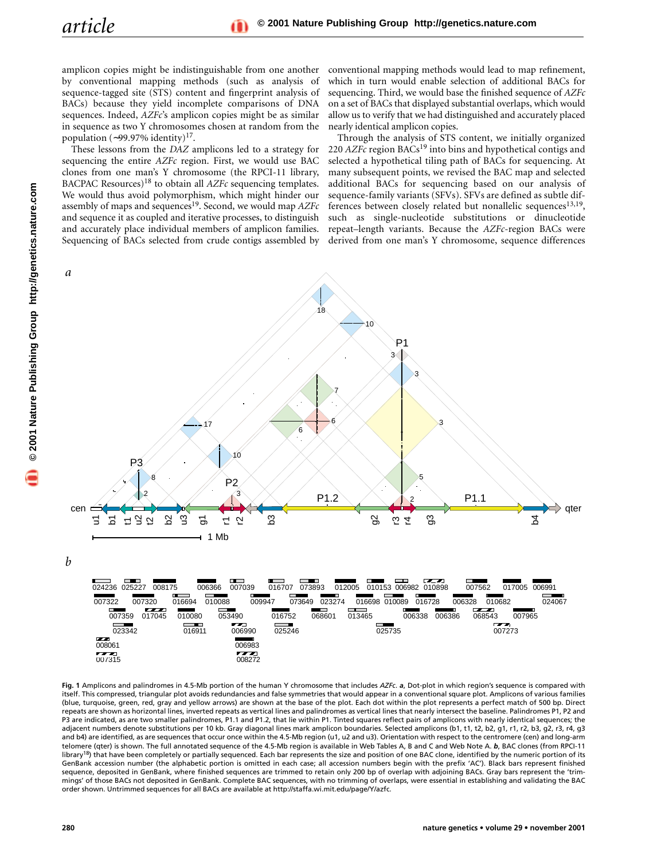amplicon copies might be indistinguishable from one another by conventional mapping methods (such as analysis of sequence-tagged site (STS) content and fingerprint analysis of BACs) because they yield incomplete comparisons of DNA sequences. Indeed, *AZFc*'s amplicon copies might be as similar in sequence as two Y chromosomes chosen at random from the population (∼99.97% identity)17.

These lessons from the *DAZ* amplicons led to a strategy for sequencing the entire *AZFc* region. First, we would use BAC clones from one man's Y chromosome (the RPCI-11 library, BACPAC Resources)18 to obtain all *AZFc* sequencing templates. We would thus avoid polymorphism, which might hinder our assembly of maps and sequences<sup>19</sup>. Second, we would map *AZFc* and sequence it as coupled and iterative processes, to distinguish and accurately place individual members of amplicon families. Sequencing of BACs selected from crude contigs assembled by conventional mapping methods would lead to map refinement, which in turn would enable selection of additional BACs for sequencing. Third, we would base the finished sequence of *AZFc* on a set of BACs that displayed substantial overlaps, which would allow us to verify that we had distinguished and accurately placed nearly identical amplicon copies.

Through the analysis of STS content, we initially organized 220 *AZFc* region BACs<sup>19</sup> into bins and hypothetical contigs and selected a hypothetical tiling path of BACs for sequencing. At many subsequent points, we revised the BAC map and selected additional BACs for sequencing based on our analysis of sequence-family variants (SFVs). SFVs are defined as subtle differences between closely related but nonallelic sequences $13,19$ , such as single-nucleotide substitutions or dinucleotide repeat–length variants. Because the *AZFc*-region BACs were derived from one man's Y chromosome, sequence differences



**Fig. 1** Amplicons and palindromes in 4.5-Mb portion of the human Y chromosome that includes *AZFc*. *a*, Dot-plot in which region's sequence is compared with itself. This compressed, triangular plot avoids redundancies and false symmetries that would appear in a conventional square plot. Amplicons of various families (blue, turquoise, green, red, gray and yellow arrows) are shown at the base of the plot. Each dot within the plot represents a perfect match of 500 bp. Direct repeats are shown as horizontal lines, inverted repeats as vertical lines and palindromes as vertical lines that nearly intersect the baseline. Palindromes P1, P2 and P3 are indicated, as are two smaller palindromes, P1.1 and P1.2, that lie within P1. Tinted squares reflect pairs of amplicons with nearly identical sequences; the adjacent numbers denote substitutions per 10 kb. Gray diagonal lines mark amplicon boundaries. Selected amplicons (b1, t1, t2, b2, g1, r1, r2, b3, g2, r3, r4, g3 and b4) are identified, as are sequences that occur once within the 4.5-Mb region (u1, u2 and u3). Orientation with respect to the centromere (cen) and long-arm telomere (qter) is shown. The full annotated sequence of the 4.5-Mb region is available in Web Tables A, B and C and Web Note A. *b*, BAC clones (from RPCI-11 library<sup>18</sup>) that have been completely or partially sequenced. Each bar represents the size and position of one BAC clone, identified by the numeric portion of its GenBank accession number (the alphabetic portion is omitted in each case; all accession numbers begin with the prefix 'AC'). Black bars represent finished sequence, deposited in GenBank, where finished sequences are trimmed to retain only 200 bp of overlap with adjoining BACs. Gray bars represent the 'trimmings' of those BACs not deposited in GenBank. Complete BAC sequences, with no trimming of overlaps, were essential in establishing and validating the BAC order shown. Untrimmed sequences for all BACs are available at http://staffa.wi.mit.edu/page/Y/azfc.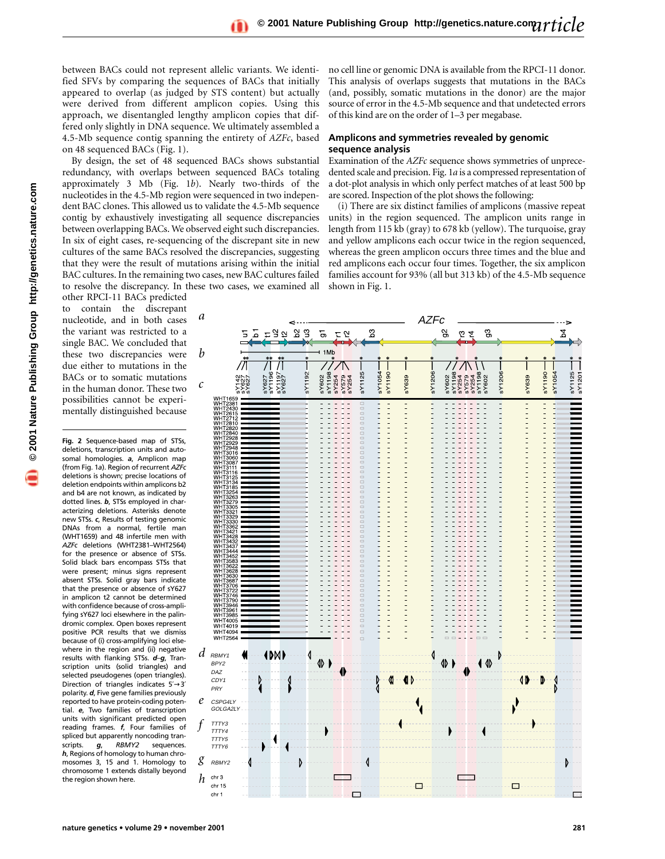between BACs could not represent allelic variants. We identified SFVs by comparing the sequences of BACs that initially appeared to overlap (as judged by STS content) but actually were derived from different amplicon copies. Using this approach, we disentangled lengthy amplicon copies that differed only slightly in DNA sequence. We ultimately assembled a 4.5-Mb sequence contig spanning the entirety of *AZFc*, based on 48 sequenced BACs (Fig. 1).

By design, the set of 48 sequenced BACs shows substantial redundancy, with overlaps between sequenced BACs totaling approximately 3 Mb (Fig. 1*b*). Nearly two-thirds of the nucleotides in the 4.5-Mb region were sequenced in two independent BAC clones. This allowed us to validate the 4.5-Mb sequence contig by exhaustively investigating all sequence discrepancies between overlapping BACs. We observed eight such discrepancies. In six of eight cases, re-sequencing of the discrepant site in new cultures of the same BACs resolved the discrepancies, suggesting that they were the result of mutations arising within the initial BAC cultures. In the remaining two cases, new BAC cultures failed to resolve the discrepancy. In these two cases, we examined all

other RPCI-11 BACs predicted to contain the discrepant nucleotide, and in both cases the variant was restricted to a single BAC. We concluded that these two discrepancies were due either to mutations in the BACs or to somatic mutations in the human donor. These two possibilities cannot be experimentally distinguished because

**Fig. 2** Sequence-based map of STSs, deletions, transcription units and autosomal homologies. *a*, Amplicon map (from Fig. 1*a*). Region of recurrent *AZFc* deletions is shown; precise locations of deletion endpoints within amplicons b2 and b4 are not known, as indicated by dotted lines. *b*, STSs employed in characterizing deletions. Asterisks denote new STSs. *c*, Results of testing genomic DNAs from a normal, fertile man (WHT1659) and 48 infertile men with *AZFc* deletions (WHT2381–WHT2564) for the presence or absence of STSs. Solid black bars encompass STSs that were present; minus signs represent absent STSs. Solid gray bars indicate that the presence or absence of sY627 in amplicon t2 cannot be determined with confidence because of cross-amplifying sY627 loci elsewhere in the palindromic complex. Open boxes represent positive PCR results that we dismiss because of (i) cross-amplifying loci elsewhere in the region and (ii) negative results with flanking STSs. *d*–*g*, Transcription units (solid triangles) and selected pseudogenes (open triangles). Direction of triangles indicates 5′→3′ polarity. *d*, Five gene families previously reported to have protein-coding potential. *e*, Two families of transcription units with significant predicted open reading frames. *f*, Four families of spliced but apparently noncoding tran-<br>scripts.  $g_i$  RBMY2 sequences. scripts. *g*, *RBMY2* sequences. *h*, Regions of homology to human chromosomes 3, 15 and 1. Homology to chromosome 1 extends distally beyond the region shown here.

no cell line or genomic DNA is available from the RPCI-11 donor. This analysis of overlaps suggests that mutations in the BACs (and, possibly, somatic mutations in the donor) are the major source of error in the 4.5-Mb sequence and that undetected errors of this kind are on the order of 1–3 per megabase.

# **Amplicons and symmetries revealed by genomic sequence analysis**

Examination of the *AZFc* sequence shows symmetries of unprecedented scale and precision. Fig. 1*a* is a compressed representation of a dot-plot analysis in which only perfect matches of at least 500 bp are scored. Inspection of the plot shows the following:

(i) There are six distinct families of amplicons (massive repeat units) in the region sequenced. The amplicon units range in length from 115 kb (gray) to 678 kb (yellow). The turquoise, gray and yellow amplicons each occur twice in the region sequenced, whereas the green amplicon occurs three times and the blue and red amplicons each occur four times. Together, the six amplicon families account for 93% (all but 313 kb) of the 4.5-Mb sequence shown in Fig. 1.

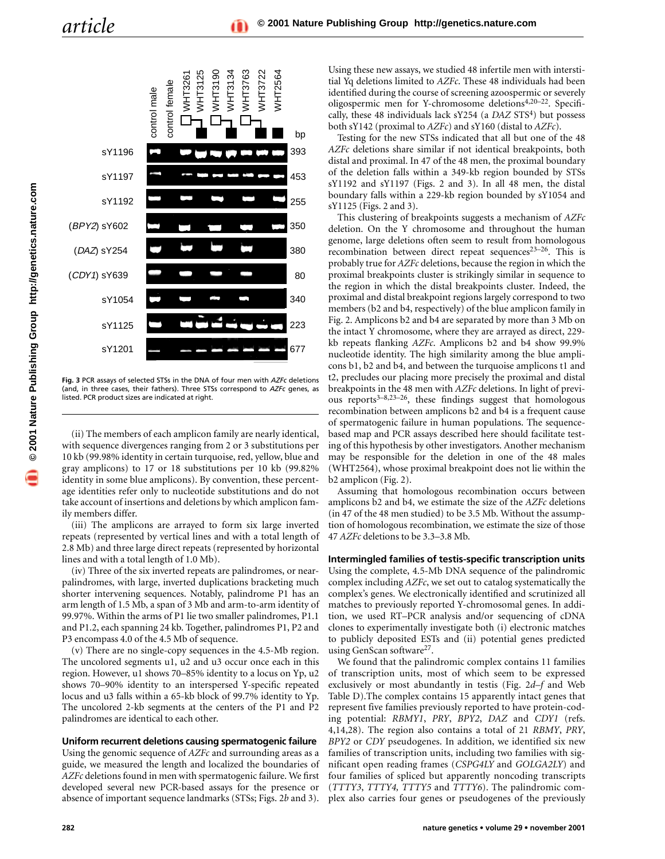

**Fig. 3** PCR assays of selected STSs in the DNA of four men with *AZFc* deletions (and, in three cases, their fathers). Three STSs correspond to *AZFc* genes, as listed. PCR product sizes are indicated at right.

(ii) The members of each amplicon family are nearly identical, with sequence divergences ranging from 2 or 3 substitutions per 10 kb (99.98% identity in certain turquoise, red, yellow, blue and gray amplicons) to 17 or 18 substitutions per 10 kb (99.82% identity in some blue amplicons). By convention, these percentage identities refer only to nucleotide substitutions and do not take account of insertions and deletions by which amplicon family members differ.

(iii) The amplicons are arrayed to form six large inverted repeats (represented by vertical lines and with a total length of 2.8 Mb) and three large direct repeats (represented by horizontal lines and with a total length of 1.0 Mb).

(iv) Three of the six inverted repeats are palindromes, or nearpalindromes, with large, inverted duplications bracketing much shorter intervening sequences. Notably, palindrome P1 has an arm length of 1.5 Mb, a span of 3 Mb and arm-to-arm identity of 99.97%. Within the arms of P1 lie two smaller palindromes, P1.1 and P1.2, each spanning 24 kb. Together, palindromes P1, P2 and P3 encompass 4.0 of the 4.5 Mb of sequence.

(v) There are no single-copy sequences in the 4.5-Mb region. The uncolored segments u1, u2 and u3 occur once each in this region. However, u1 shows 70–85% identity to a locus on Yp, u2 shows 70–90% identity to an interspersed Y-specific repeated locus and u3 falls within a 65-kb block of 99.7% identity to Yp. The uncolored 2-kb segments at the centers of the P1 and P2 palindromes are identical to each other.

#### **Uniform recurrent deletions causing spermatogenic failure**

Using the genomic sequence of *AZFc* and surrounding areas as a guide, we measured the length and localized the boundaries of *AZFc* deletions found in men with spermatogenic failure. We first developed several new PCR-based assays for the presence or absence of important sequence landmarks (STSs; Figs. 2*b* and 3). Using these new assays, we studied 48 infertile men with interstitial Yq deletions limited to *AZFc*. These 48 individuals had been identified during the course of screening azoospermic or severely oligospermic men for Y-chromosome deletions4,20–22. Specifically, these 48 individuals lack sY254 (a *DAZ* STS<sup>4</sup>) but possess both sY142 (proximal to *AZFc*) and sY160 (distal to *AZFc*).

Testing for the new STSs indicated that all but one of the 48 *AZFc* deletions share similar if not identical breakpoints, both distal and proximal. In 47 of the 48 men, the proximal boundary of the deletion falls within a 349-kb region bounded by STSs sY1192 and sY1197 (Figs. 2 and 3). In all 48 men, the distal boundary falls within a 229-kb region bounded by sY1054 and sY1125 (Figs. 2 and 3).

This clustering of breakpoints suggests a mechanism of *AZFc* deletion. On the Y chromosome and throughout the human genome, large deletions often seem to result from homologous recombination between direct repeat sequences $23-26$ . This is probably true for *AZFc* deletions, because the region in which the proximal breakpoints cluster is strikingly similar in sequence to the region in which the distal breakpoints cluster. Indeed, the proximal and distal breakpoint regions largely correspond to two members (b2 and b4, respectively) of the blue amplicon family in Fig. 2. Amplicons b2 and b4 are separated by more than 3 Mb on the intact Y chromosome, where they are arrayed as direct, 229 kb repeats flanking *AZFc*. Amplicons b2 and b4 show 99.9% nucleotide identity. The high similarity among the blue amplicons b1, b2 and b4, and between the turquoise amplicons t1 and t2, precludes our placing more precisely the proximal and distal breakpoints in the 48 men with *AZFc* deletions. In light of previous reports<sup>3-8,23-26</sup>, these findings suggest that homologous recombination between amplicons b2 and b4 is a frequent cause of spermatogenic failure in human populations. The sequencebased map and PCR assays described here should facilitate testing of this hypothesis by other investigators. Another mechanism may be responsible for the deletion in one of the 48 males (WHT2564), whose proximal breakpoint does not lie within the b2 amplicon (Fig. 2).

Assuming that homologous recombination occurs between amplicons b2 and b4, we estimate the size of the *AZFc* deletions (in 47 of the 48 men studied) to be 3.5 Mb. Without the assumption of homologous recombination, we estimate the size of those 47 *AZFc* deletions to be 3.3–3.8 Mb.

## **Intermingled families of testis-specific transcription units**

Using the complete, 4.5-Mb DNA sequence of the palindromic complex including *AZFc*, we set out to catalog systematically the complex's genes. We electronically identified and scrutinized all matches to previously reported Y-chromosomal genes. In addition, we used RT–PCR analysis and/or sequencing of cDNA clones to experimentally investigate both (i) electronic matches to publicly deposited ESTs and (ii) potential genes predicted using GenScan software<sup>27</sup>.

We found that the palindromic complex contains 11 families of transcription units, most of which seem to be expressed exclusively or most abundantly in testis (Fig. 2*d–f* and Web Table D).The complex contains 15 apparently intact genes that represent five families previously reported to have protein-coding potential: *RBMY1*, *PRY*, *BPY2*, *DAZ* and *CDY1* (refs. 4,14,28). The region also contains a total of 21 *RBMY*, *PRY*, *BPY2* or *CDY* pseudogenes. In addition, we identified six new families of transcription units, including two families with significant open reading frames (*CSPG4LY* and *GOLGA2LY*) and four families of spliced but apparently noncoding transcripts (*TTTY3*, *TTTY4, TTTY5* and *TTTY6*). The palindromic complex also carries four genes or pseudogenes of the previously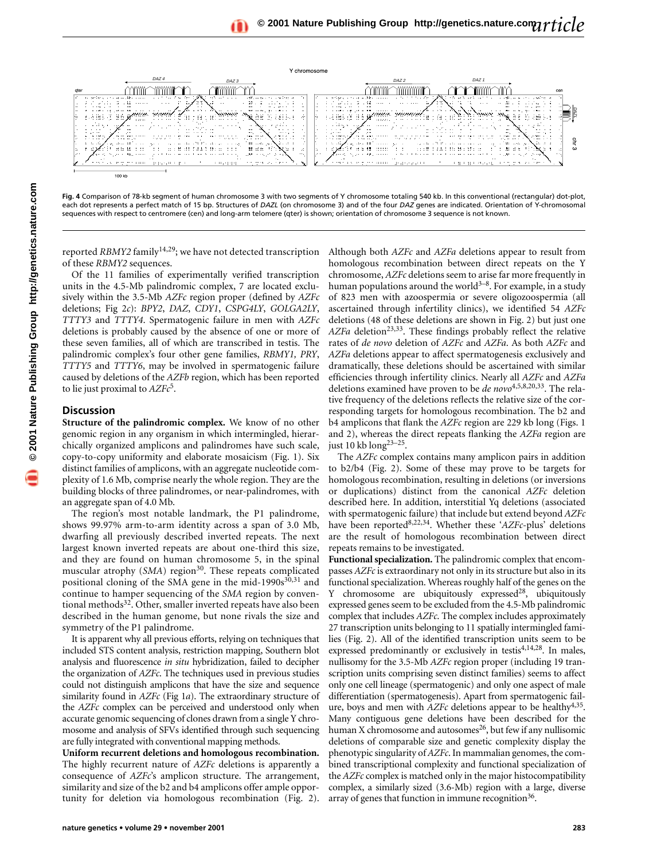

**Fig. 4** Comparison of 78-kb segment of human chromosome 3 with two segments of Y chromosome totaling 540 kb. In this conventional (rectangular) dot-plot, each dot represents a perfect match of 15 bp. Structures of *DAZL* (on chromosome 3) and of the four *DAZ* genes are indicated. Orientation of Y-chromosomal sequences with respect to centromere (cen) and long-arm telomere (qter) is shown; orientation of chromosome 3 sequence is not known.

reported *RBMY2* family<sup>14,29</sup>; we have not detected transcription of these *RBMY2* sequences.

Of the 11 families of experimentally verified transcription units in the 4.5-Mb palindromic complex, 7 are located exclusively within the 3.5-Mb *AZFc* region proper (defined by *AZFc* deletions; Fig 2*c*): *BPY2*, *DAZ*, *CDY1*, *CSPG4LY*, *GOLGA2LY*, *TTTY3* and *TTTY4*. Spermatogenic failure in men with *AZFc* deletions is probably caused by the absence of one or more of these seven families, all of which are transcribed in testis. The palindromic complex's four other gene families, *RBMY1, PRY*, *TTTY5* and *TTTY6*, may be involved in spermatogenic failure caused by deletions of the *AZFb* region, which has been reported to lie just proximal to *AZFc*5.

#### **Discussion**

**Structure of the palindromic complex.** We know of no other genomic region in any organism in which intermingled, hierarchically organized amplicons and palindromes have such scale, copy-to-copy uniformity and elaborate mosaicism (Fig. 1). Six distinct families of amplicons, with an aggregate nucleotide complexity of 1.6 Mb, comprise nearly the whole region. They are the building blocks of three palindromes, or near-palindromes, with an aggregate span of 4.0 Mb.

The region's most notable landmark, the P1 palindrome, shows 99.97% arm-to-arm identity across a span of 3.0 Mb, dwarfing all previously described inverted repeats. The next largest known inverted repeats are about one-third this size, and they are found on human chromosome 5, in the spinal muscular atrophy (SMA) region<sup>30</sup>. These repeats complicated positional cloning of the SMA gene in the mid-1990s<sup>30,31</sup> and continue to hamper sequencing of the *SMA* region by conventional methods<sup>32</sup>. Other, smaller inverted repeats have also been described in the human genome, but none rivals the size and symmetry of the P1 palindrome.

It is apparent why all previous efforts, relying on techniques that included STS content analysis, restriction mapping, Southern blot analysis and fluorescence *in situ* hybridization, failed to decipher the organization of *AZFc*. The techniques used in previous studies could not distinguish amplicons that have the size and sequence similarity found in *AZFc* (Fig 1*a*). The extraordinary structure of the *AZFc* complex can be perceived and understood only when accurate genomic sequencing of clones drawn from a single Y chromosome and analysis of SFVs identified through such sequencing are fully integrated with conventional mapping methods.

**Uniform recurrent deletions and homologous recombination.** The highly recurrent nature of *AZFc* deletions is apparently a consequence of *AZFc*'s amplicon structure. The arrangement, similarity and size of the b2 and b4 amplicons offer ample opportunity for deletion via homologous recombination (Fig. 2). Although both *AZFc* and *AZFa* deletions appear to result from homologous recombination between direct repeats on the Y chromosome, *AZFc* deletions seem to arise far more frequently in human populations around the world $3-8$ . For example, in a study of 823 men with azoospermia or severe oligozoospermia (all ascertained through infertility clinics), we identified 54 *AZFc* deletions (48 of these deletions are shown in Fig. 2) but just one AZFa deletion<sup>23,33</sup>. These findings probably reflect the relative rates of *de novo* deletion of *AZFc* and *AZFa*. As both *AZFc* and *AZFa* deletions appear to affect spermatogenesis exclusively and dramatically, these deletions should be ascertained with similar efficiencies through infertility clinics. Nearly all *AZFc* and *AZFa* deletions examined have proven to be *de novo*4,5,8,20,33. The relative frequency of the deletions reflects the relative size of the corresponding targets for homologous recombination. The b2 and b4 amplicons that flank the *AZFc* region are 229 kb long (Figs. 1 and 2), whereas the direct repeats flanking the *AZFa* region are just 10 kb long23–25.

The *AZFc* complex contains many amplicon pairs in addition to b2/b4 (Fig. 2). Some of these may prove to be targets for homologous recombination, resulting in deletions (or inversions or duplications) distinct from the canonical *AZFc* deletion described here. In addition, interstitial Yq deletions (associated with spermatogenic failure) that include but extend beyond *AZFc* have been reported8,22,34. Whether these '*AZFc*-plus' deletions are the result of homologous recombination between direct repeats remains to be investigated.

**Functional specialization.** The palindromic complex that encompasses *AZFc* is extraordinary not only in its structure but also in its functional specialization. Whereas roughly half of the genes on the Y chromosome are ubiquitously expressed<sup>28</sup>, ubiquitously expressed genes seem to be excluded from the 4.5-Mb palindromic complex that includes *AZFc*. The complex includes approximately 27 transcription units belonging to 11 spatially intermingled families (Fig. 2). All of the identified transcription units seem to be expressed predominantly or exclusively in testis4,14,28. In males, nullisomy for the 3.5-Mb *AZFc* region proper (including 19 transcription units comprising seven distinct families) seems to affect only one cell lineage (spermatogenic) and only one aspect of male differentiation (spermatogenesis). Apart from spermatogenic failure, boys and men with *AZFc* deletions appear to be healthy4,35. Many contiguous gene deletions have been described for the human X chromosome and autosomes $26$ , but few if any nullisomic deletions of comparable size and genetic complexity display the phenotypic singularity of *AZFc*. In mammalian genomes, the combined transcriptional complexity and functional specialization of the *AZFc* complex is matched only in the major histocompatibility complex, a similarly sized (3.6-Mb) region with a large, diverse array of genes that function in immune recognition<sup>36</sup>.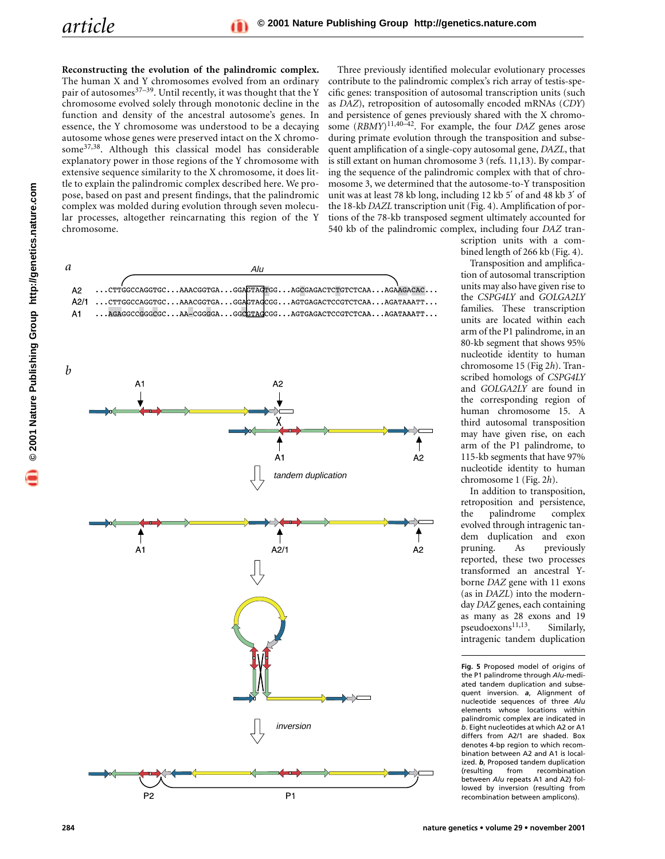**Reconstructing the evolution of the palindromic complex.** The human X and Y chromosomes evolved from an ordinary pair of autosomes $37-39$ . Until recently, it was thought that the Y chromosome evolved solely through monotonic decline in the function and density of the ancestral autosome's genes. In essence, the Y chromosome was understood to be a decaying autosome whose genes were preserved intact on the X chromosome37,38. Although this classical model has considerable explanatory power in those regions of the Y chromosome with extensive sequence similarity to the X chromosome, it does little to explain the palindromic complex described here. We propose, based on past and present findings, that the palindromic complex was molded during evolution through seven molecular processes, altogether reincarnating this region of the Y chromosome.

Three previously identified molecular evolutionary processes contribute to the palindromic complex's rich array of testis-specific genes: transposition of autosomal transcription units (such as *DAZ*), retroposition of autosomally encoded mRNAs (*CDY*) and persistence of genes previously shared with the X chromosome (*RBMY*)11,40–42. For example, the four *DAZ* genes arose during primate evolution through the transposition and subsequent amplification of a single-copy autosomal gene, *DAZL*, that is still extant on human chromosome 3 (refs. 11,13). By comparing the sequence of the palindromic complex with that of chromosome 3, we determined that the autosome-to-Y transposition unit was at least 78 kb long, including 12 kb 5′ of and 48 kb 3′ of the 18-kb *DAZL* transcription unit (Fig. 4). Amplification of portions of the 78-kb transposed segment ultimately accounted for 540 kb of the palindromic complex, including four *DAZ* tran-

![](_page_5_Figure_4.jpeg)

scription units with a combined length of 266 kb (Fig. 4).

Transposition and amplification of autosomal transcription units may also have given rise to the *CSPG4LY* and *GOLGA2LY* families. These transcription units are located within each arm of the P1 palindrome, in an 80-kb segment that shows 95% nucleotide identity to human chromosome 15 (Fig 2*h*). Transcribed homologs of *CSPG4LY* and *GOLGA2LY* are found in the corresponding region of human chromosome 15. A third autosomal transposition may have given rise, on each arm of the P1 palindrome, to 115-kb segments that have 97% nucleotide identity to human chromosome 1 (Fig. 2*h*).

In addition to transposition, retroposition and persistence, the palindrome complex evolved through intragenic tandem duplication and exon pruning. As previously reported, these two processes transformed an ancestral Yborne *DAZ* gene with 11 exons (as in *DAZL*) into the modernday *DAZ* genes, each containing as many as 28 exons and 19 pseudoexons<sup>11,13</sup>. Similarly, intragenic tandem duplication

**Fig. 5** Proposed model of origins of the P1 palindrome through *Alu*-mediated tandem duplication and subsequent inversion. *a*, Alignment of nucleotide sequences of three *Alu* elements whose locations within palindromic complex are indicated in *b*. Eight nucleotides at which A2 or A1 differs from A2/1 are shaded. Box denotes 4-bp region to which recombination between A2 and A1 is localized. *b*, Proposed tandem duplication (resulting from recombination between *Alu* repeats A1 and A2) followed by inversion (resulting from recombination between amplicons).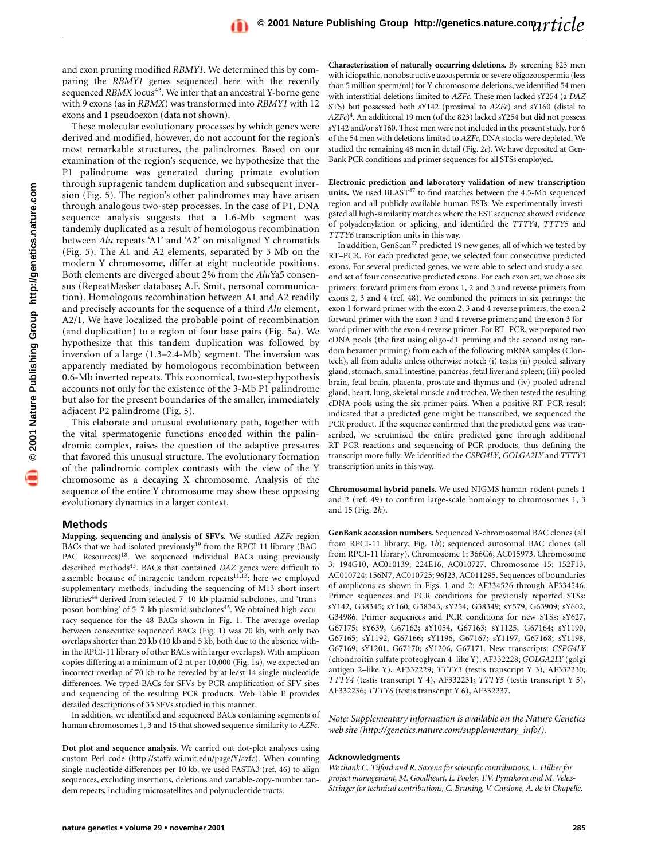**1** © 2001 Nature Publishing Group http://genetics.nature.com **© 2001 Nature Publishing Group http://genetics.nature.com** and exon pruning modified *RBMY1*. We determined this by comparing the *RBMY1* genes sequenced here with the recently sequenced *RBMX* locus<sup>43</sup>. We infer that an ancestral Y-borne gene with 9 exons (as in *RBMX*) was transformed into *RBMY1* with 12 exons and 1 pseudoexon (data not shown).

These molecular evolutionary processes by which genes were derived and modified, however, do not account for the region's most remarkable structures, the palindromes. Based on our examination of the region's sequence, we hypothesize that the P1 palindrome was generated during primate evolution through supragenic tandem duplication and subsequent inversion (Fig. 5). The region's other palindromes may have arisen through analogous two-step processes. In the case of P1, DNA sequence analysis suggests that a 1.6-Mb segment was tandemly duplicated as a result of homologous recombination between *Alu* repeats 'A1' and 'A2' on misaligned Y chromatids (Fig. 5). The A1 and A2 elements, separated by 3 Mb on the modern Y chromosome, differ at eight nucleotide positions. Both elements are diverged about 2% from the *Alu*Ya5 consensus (RepeatMasker database; A.F. Smit, personal communication). Homologous recombination between A1 and A2 readily and precisely accounts for the sequence of a third *Alu* element, A2/1. We have localized the probable point of recombination (and duplication) to a region of four base pairs (Fig. 5*a*). We hypothesize that this tandem duplication was followed by inversion of a large (1.3–2.4-Mb) segment. The inversion was apparently mediated by homologous recombination between 0.6-Mb inverted repeats. This economical, two-step hypothesis accounts not only for the existence of the 3-Mb P1 palindrome but also for the present boundaries of the smaller, immediately adjacent P2 palindrome (Fig. 5).

This elaborate and unusual evolutionary path, together with the vital spermatogenic functions encoded within the palindromic complex, raises the question of the adaptive pressures that favored this unusual structure. The evolutionary formation of the palindromic complex contrasts with the view of the Y chromosome as a decaying X chromosome. Analysis of the sequence of the entire Y chromosome may show these opposing evolutionary dynamics in a larger context.

### **Methods**

**Mapping, sequencing and analysis of SFVs.** We studied *AZFc* region BACs that we had isolated previously<sup>19</sup> from the RPCI-11 library (BAC-PAC Resources)<sup>18</sup>. We sequenced individual BACs using previously described methods<sup>43</sup>. BACs that contained *DAZ* genes were difficult to assemble because of intragenic tandem repeats $11,13$ ; here we employed supplementary methods, including the sequencing of M13 short-insert libraries<sup>44</sup> derived from selected 7-10-kb plasmid subclones, and 'transposon bombing' of 5–7-kb plasmid subclones<sup>45</sup>. We obtained high-accuracy sequence for the 48 BACs shown in Fig. 1. The average overlap between consecutive sequenced BACs (Fig. 1) was 70 kb, with only two overlaps shorter than 20 kb (10 kb and 5 kb, both due to the absence within the RPCI-11 library of other BACs with larger overlaps). With amplicon copies differing at a minimum of 2 nt per 10,000 (Fig. 1*a*), we expected an incorrect overlap of 70 kb to be revealed by at least 14 single-nucleotide differences. We typed BACs for SFVs by PCR amplification of SFV sites and sequencing of the resulting PCR products. Web Table E provides detailed descriptions of 35 SFVs studied in this manner.

In addition, we identified and sequenced BACs containing segments of human chromosomes 1, 3 and 15 that showed sequence similarity to *AZFc*.

**Dot plot and sequence analysis.** We carried out dot-plot analyses using custom Perl code (http://staffa.wi.mit.edu/page/Y/azfc). When counting single-nucleotide differences per 10 kb, we used FASTA3 (ref. 46) to align sequences, excluding insertions, deletions and variable-copy-number tandem repeats, including microsatellites and polynucleotide tracts.

**Characterization of naturally occurring deletions.** By screening 823 men with idiopathic, nonobstructive azoospermia or severe oligozoospermia (less than 5 million sperm/ml) for Y-chromosome deletions, we identified 54 men with interstitial deletions limited to *AZFc*. These men lacked sY254 (a *DAZ* STS) but possessed both sY142 (proximal to *AZFc*) and sY160 (distal to *AZFc*)4. An additional 19 men (of the 823) lacked sY254 but did not possess sY142 and/or sY160. These men were not included in the present study. For 6 of the 54 men with deletions limited to *AZFc*, DNA stocks were depleted. We studied the remaining 48 men in detail (Fig. 2*c*). We have deposited at Gen-Bank PCR conditions and primer sequences for all STSs employed.

**Electronic prediction and laboratory validation of new transcription** units. We used BLAST<sup>47</sup> to find matches between the 4.5-Mb sequenced region and all publicly available human ESTs. We experimentally investigated all high-similarity matches where the EST sequence showed evidence of polyadenylation or splicing, and identified the *TTTY4*, *TTTY5* and *TTTY6* transcription units in this way.

In addition, GenScan<sup>27</sup> predicted 19 new genes, all of which we tested by RT–PCR. For each predicted gene, we selected four consecutive predicted exons. For several predicted genes, we were able to select and study a second set of four consecutive predicted exons. For each exon set, we chose six primers: forward primers from exons 1, 2 and 3 and reverse primers from exons 2, 3 and 4 (ref. 48). We combined the primers in six pairings: the exon 1 forward primer with the exon 2, 3 and 4 reverse primers; the exon 2 forward primer with the exon 3 and 4 reverse primers; and the exon 3 forward primer with the exon 4 reverse primer. For RT–PCR, we prepared two cDNA pools (the first using oligo-dT priming and the second using random hexamer priming) from each of the following mRNA samples (Clontech), all from adults unless otherwise noted: (i) testis (ii) pooled salivary gland, stomach, small intestine, pancreas, fetal liver and spleen; (iii) pooled brain, fetal brain, placenta, prostate and thymus and (iv) pooled adrenal gland, heart, lung, skeletal muscle and trachea. We then tested the resulting cDNA pools using the six primer pairs. When a positive RT–PCR result indicated that a predicted gene might be transcribed, we sequenced the PCR product. If the sequence confirmed that the predicted gene was transcribed, we scrutinized the entire predicted gene through additional RT–PCR reactions and sequencing of PCR products, thus defining the transcript more fully. We identified the *CSPG4LY*, *GOLGA2LY* and *TTTY3* transcription units in this way.

**Chromosomal hybrid panels.** We used NIGMS human-rodent panels 1 and 2 (ref. 49) to confirm large-scale homology to chromosomes 1, 3 and 15 (Fig. 2*h*).

**GenBank accession numbers.** Sequenced Y-chromosomal BAC clones (all from RPCI-11 library; Fig. 1*b*); sequenced autosomal BAC clones (all from RPCI-11 library). Chromosome 1: 366C6, AC015973. Chromosome 3: 194G10, AC010139; 224E16, AC010727. Chromosome 15: 152F13, AC010724; 156N7, AC010725; 96J23, AC011295. Sequences of boundaries of amplicons as shown in Figs. 1 and 2: AF334526 through AF334546. Primer sequences and PCR conditions for previously reported STSs: sY142, G38345; sY160, G38343; sY254, G38349; sY579, G63909; sY602, G34986. Primer sequences and PCR conditions for new STSs: sY627, G67175; sY639, G67162; sY1054, G67163; sY1125, G67164; sY1190, G67165; sY1192, G67166; sY1196, G67167; sY1197, G67168; sY1198, G67169; sY1201, G67170; sY1206, G67171. New transcripts: *CSPG4LY* (chondroitin sulfate proteoglycan 4–like Y), AF332228; *GOLGA2LY* (golgi antigen 2–like Y), AF332229; *TTTY3* (testis transcript Y 3), AF332230; *TTTY4* (testis transcript Y 4), AF332231; *TTTY5* (testis transcript Y 5), AF332236; *TTTY6* (testis transcript Y 6), AF332237.

*Note: Supplementary information is available on the Nature Genetics web site (http://genetics.nature.com/supplementary\_info/).*

#### **Acknowledgments**

*We thank C. Tilford and R. Saxena for scientific contributions, L. Hillier for project management, M. Goodheart, L. Pooler, T.V. Pyntikova and M. Velez-Stringer for technical contributions, C. Bruning, V. Cardone, A. de la Chapelle,*